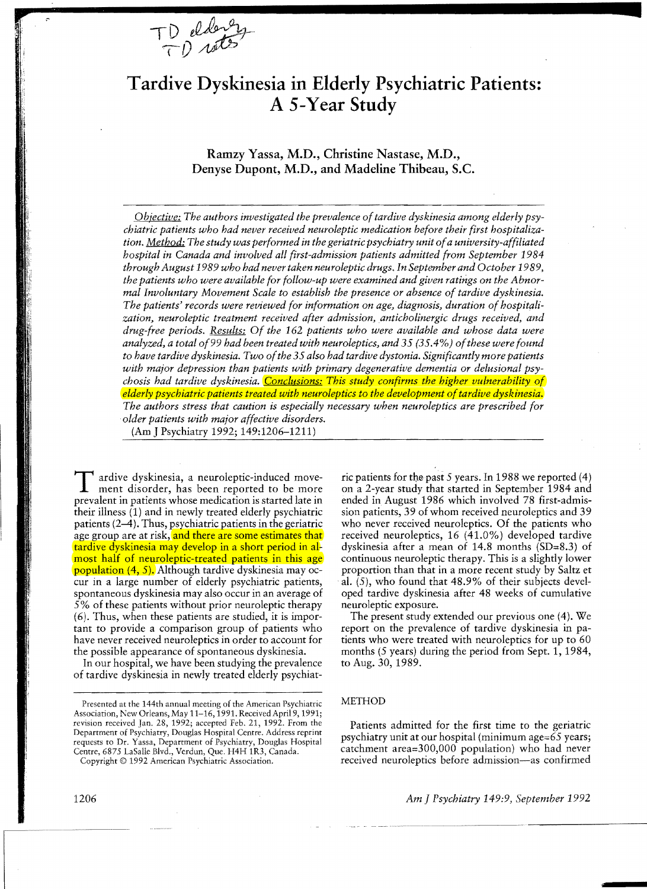

# **Tardive Dyskinesia in Elderly Psychiatric Patients: A 5-Year Study**

# Ramzy Yassa, M.D., Christine Nastase, M.D., Denyse Dupont, M.D., and Madeline Thibeau, S.C.

*Objective:* The authors investigated the prevalence of tardive dyskinesia among elderly psy*chiatric patients who had never received neuroleptic medication before their first hospitalization. Method: The study was performed in the geriatr:ic psychiatry unit ofa university-affiliated hospital in Canada and involved all first-admission patients admitted from September 1984 through August* 1989 *who had never taken neuroleptic drugs. In September and October* 1989, *the patients who were available for follow-up were examined and given ratings on the Abnormal Involuntary Movement Scale to establish the presence or absence of tardive dyskinesia. The patients' records were reviewed for information on age, diagnosis, duration of hospitalization, neuroleptic treatment received after admission, anticholinergic drugs received, and drug-free periods. Results: Of the* 162 *patients who were available and whose data were analyzed, a total of99 had been treated with neuroleptics, and* 35 (35.4%) *ofthese were found to have tardive dyskinesia. Two ofthe* 35 *also had tardive dystonia. Significantly more patients with major depression than patients with primary degenerative dementia or delusional psychosis had tardive dyskinesia. Conclusions: This study confirms the higher vulnerability of elderly psychiatric patients treated with neuroleptics to the development oftardive dyskinesia. The authors stress that caution is especially necessary when neuroleptics are prescribed for . older patients with major affective disorders.*  (Am J Psychiatry 1992; 149:1206-1211)

ardive dyskinesia, a neuroleptic-induced movement disorder, has been reported to be more prevalent in patients whose medication is started late in their illness (1) and in newly treated elderly psychiatric patients (2-4). Thus, psychiatric patients in the geriatric age group are at risk, and there are some estimates that tardive dyskinesia may develop in a short period in almost half of neuroleptic-treated patients in this age population  $(4, 5)$ . Although tardive dyskinesia may occur in a large number of elderly psychiatric patients, spontaneous dyskinesia may also occur in an average of 5% of these patients without prior neuroleptic therapy (6). Thus, when these patients are studied, it is important to provide a comparison group of patients who have never received neuroleptics in order to account for the possible appearance of spontaneous dyskinesia.

In our hospital, we have been studying the prevalence of tardive dyskinesia in newly treated elderly psychiatric patients for the past 5 years. In 1988 we reported  $(4)$ on a 2-year study that started in September 1984 and ended in August 1986 which involved 78 first-admission patients, 39 of whom received neuroleptics and 39 who never received neuroleptics. Of the patients who received neuroleptics, 16 (41.0%) developed tardive dyskinesia after a mean of 14.8 months  $(SD=8.3)$  of continuous neuroleptic therapy. This is a slightly lower proportion than that in a more recent study by Saltz et al. (5), who found that 48.9% of their subjects developed tardive dyskinesia after 48 weeks of cumulative neuroleptic exposure.

The present study extended our previous one (4). We report on the prevalence of tardive dyskinesia in patients who were treated with neuroleptics for up to 60 months (5 years) during the period from Sept. 1, 1984, to Aug. 30, 1989.

#### METHOD

Patients admitted for the first time to the geriatric psychiatry unit at our hospital (minimum age= $65$  years; catchment area=300,000 population) who had never received neuroleptics before admission-as confirmed

Presented at the 144th annual meeting of the American Psychiatric Association, New Orleans, May 11-16, 1991. Received April 9, 1991; revision received Jan. 28, 1992; accepted Feb. 21, 1992. From the Department of Psychiatry, Douglas Hospital Centre. Address reprint requests to Dr. Yassa, Department of Psychiatry, Douglas Hospital Centre, 6875 LaSalle Blvd., Verdun, Que. H4H 1R3, Canada.

Copyright © 1992 American Psychiatric Association.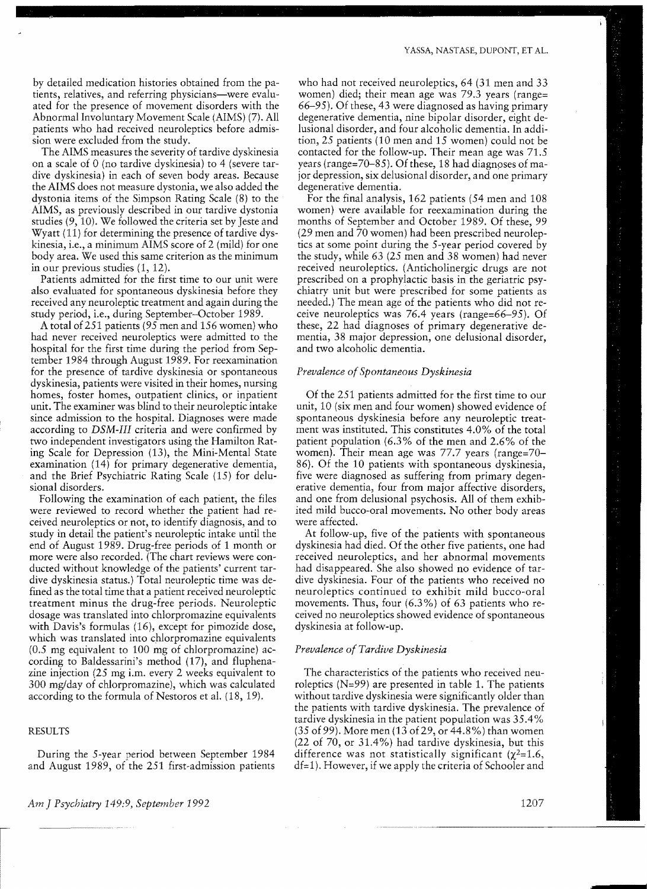by detailed medication histories obtained from the patients, relatives, and referring physicians-were evaluated for the presence of movement disorders with the Abnormal Involuntary Movement Scale (AIMS) (7). All patients who had received neuroleptics before admission were excluded from the study.

The AIMS measures the severity of tardive dyskinesia on a scale of 0 (no tardive dyskinesia) to 4 (severe tardive dyskinesia) in each of seven body areas. Because the AIMS does not measure dystonia, we also added the dystonia items of the Simpson Rating Scale (8) to the AIMS, as previously described in our tardive dystonia studies (9, 10). We followed the criteria set by Jeste and Wyatt (11) for determining the presence of tardive dyskinesia, i.e., a minimum AIMS score of 2 (mild) for one body area. We used this same criterion as the minimum in our previous studies (1, 12).

Patients admitted for the first time to our unit were also evaluated for spontaneous dyskinesia before they received any neuroleptic treatment and again during the study period, i.e., during September-October 1989.

A total of251 patients (95 men and 156 women) who had never received neuroleptics were admitted to the hospital for the first time during the period from September 1984 through August 1989. For reexamination for the presence of tardive dyskinesia or spontaneous dyskinesia, patients were visited in their homes, nursing homes, foster homes, outpatient clinics, or inpatient unit. The examiner was blind to their neuroleptic intake since admission to the hospital. Diagnoses were made according to *DSM-III* criteria and were confirmed by two independent investigators using the Hamilton Rating Scale for Depression (13), the Mini-Mental State examination (14) for primary degenerative dementia, and the Brief Psychiatric Rating Scale (15) for delusional disorders.

Following the examination of each patient, the files were reviewed to record whether the patient had received neuroleptics or not, to identify diagnosis, and to study in detail the patient's neuroleptic intake until the end of August 1989. Drug-free periods of 1 month or more were also recorded. (The chart reviews were conducted without knowledge of the patients' current tardive dyskinesia status.) Total neuroleptic time was defined as the total time that a patient received neuroleptic treatment minus the drug-free periods. Neuroleptic dosage was translated into chlorpromazine equivalents with Davis's formulas (16), except for pimozide dose, which was translated into chlorpromazine equivalents (0.5 mg equivalent to 100 mg of chlorpromazine) according to Baldessarini's method (17), and fluphenazine injection (25 mg i.m. every 2 weeks equivalent to 300 mg/day of chlorpromazine), which was calculated according to the formula of Nestoros et al. (18, 19).

#### RESULTS

During the 5-year period between September 1984 and August 1989, of the 251 first-admission patients

who had not received neuroleptics, 64 (31 men and 33 women) died; their mean age was 79.3 years (range= 66-95). Of these, 43 were diagnosed as having primary degenerative dementia, nine bipolar disorder, eight delusional disorder, and four alcoholic dementia. In addition, 25 patients (10 men and 15 women) could not be contacted for the follow-up. Their mean age was 71.5 years (range=70-85). Of these, 18 had diagnoses of major depression, six delusional disorder, and one primary degenerative dementia.

For the final analysis, 162 patients (54 men and 108 women) were available for reexamination during the months of September and October 1989. Of these, 99 (29 men and 70 women) had been prescribed neuroleptics at some point during the 5-year period covered by the study, while 63 (25 men and 38 women) had never received neuroleptics. (Anticholinergic drugs are not prescribed on a prophylactic basis in the geriatric psychiatry unit but were prescribed for some patients as needed.) The mean age of the patients who did not receive neuroleptics was 76.4 years (range=66-95). Of these, 22 had diagnoses of primary degenerative dementia, 38 major depression, one delusional disorder, and two alcoholic dementia.

#### *Prevalence of Spontaneous Dyskinesia*

Of the 251 patients admitted for the first time to our unit, 10 (six men and four women) showed evidence of spontaneous dyskinesia before any neuroleptic treatment was instituted. This constitutes 4.0% of the total patient population (6.3% of the men and 2.6% of the women). Their mean age was 77.7 years (range=70– 86). Of the 10 patients with spontaneous dyskinesia, five were diagnosed as suffering from primary degenerative dementia, four from major affective disorders, and one from delusional psychosis. All of them exhibited mild bucco-oral movements. No other body areas were affected.

At follow-up, five of the patients with spontaneous dyskinesia had died. Of the other five patients, one had received neuroleptics, and her abnormal movements had disappeared. She also showed no evidence of tardive dyskinesia. Four of the patients who received no neuroleptics continued to exhibit mild bucco-oral movements. Thus, four (6.3%) of 63 patients who received no neuroleptics showed evidence of spontaneous dyskinesia at follow-up.

#### *Prevalence ofTardive Dyskinesia*

The characteristics of the patients who received neuroleptics (N=99) are presented in table 1. The patients without tardive dyskinesia were significantly older than the patients with tardive dyskinesia. The prevalence of tardive dyskinesia in the patient population was 35.4%  $(35 of 99)$ . More men  $(13 of 29, or 44.8%)$  than women (22 of 70, or 31.4%) had tardive dyskinesia, but this difference was not statistically significant  $(\chi^2=1.6,$ df=1). However, if we apply the criteria of Schooler and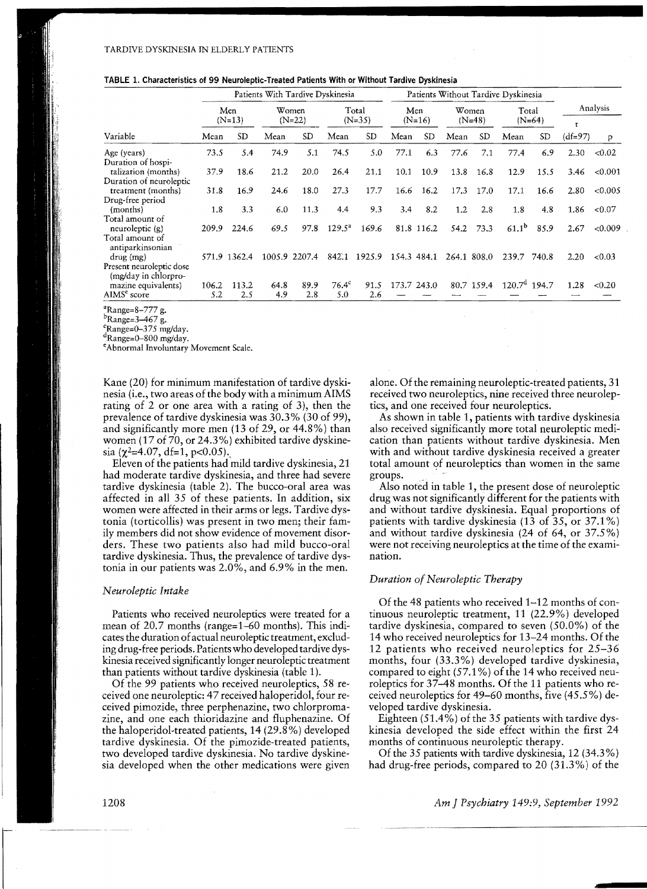|                                                            | Patients With Tardive Dyskinesia |                 |             |                   |                     |                   | Patients Without Tardive Dyskinesia |                 |      |                   |                   |                   |         |          |
|------------------------------------------------------------|----------------------------------|-----------------|-------------|-------------------|---------------------|-------------------|-------------------------------------|-----------------|------|-------------------|-------------------|-------------------|---------|----------|
|                                                            |                                  | Men<br>$(N=13)$ |             | Women<br>$(N=22)$ |                     | Total<br>$(N=35)$ |                                     | Men<br>$(N=16)$ |      | Women<br>$(N=48)$ |                   | Total<br>$(N=64)$ | t       | Analysis |
| Variable                                                   | Mean                             | <b>SD</b>       | Mean        | SD.               | Mean                | SD                | Mean                                | <b>SD</b>       | Mean | SD <sub></sub>    | Mean              | SD                | (df=97) | p        |
| Age (years)<br>Duration of hospi-                          | 73.5                             | 5.4             | 74.9        | 5.1               | 74.5                | 5.0               | 77.1                                | 6.3             | 77.6 | 7.1               | 77.4              | 6.9               | 2.30    | < 0.02   |
| talization (months)<br>Duration of neuroleptic             | 37.9                             | 18.6            | 21.2        | 20.0              | 26.4                | 21.1              | 10.1                                | 10.9            | 13.8 | 16.8              | 12.9              | 15.5              | 3.46    | < 0.001  |
| treatment (months)                                         | 31.8                             | 16.9            | 24.6        | 18.0              | 27.3                | 17.7              | 16.6                                | 16.2            | 17.3 | 17.0              | 17.1              | 16.6              | 2.80    | <0.005   |
| Drug-free period<br>(months)                               | 1.8                              | 3.3             | 6.0         | 11.3              | 4.4                 | 9.3               | 3.4                                 | 8.2             | 1.2  | 2.8               | 1.8               | 4.8               | 1.86    | < 0.07   |
| Total amount of<br>neuroleptic(g)                          | 209.9                            | 224.6           | 69.5        | 97.8              | $129.5^{\circ}$     | 169.6             |                                     | 81.8 116.2      | 54.2 | 73.3              | 61.1 <sup>b</sup> | 85.9              | 2.67    | <0.009   |
| Total amount of<br>antiparkinsonian<br>drug (mg)           |                                  | 571.9 1362.4    |             | 1005.9 2207.4     |                     | 842.1 1925.9      |                                     | 154.3 484.1     |      | 264.1 808.0       | 239.7             | 740.8             | 2.20    | < 0.03   |
| Present neuroleptic dose<br>(mg/day in chlorpro-           |                                  |                 |             |                   |                     |                   |                                     |                 |      |                   |                   |                   |         |          |
| mazine equivalents)<br>$\mathop{\rm MMS^e}\nolimits$ score | 106.2<br>5.2                     | 113.2<br>2.5    | 64.8<br>4.9 | 89.9<br>2.8       | $76.4^\circ$<br>5.0 | 91.5<br>2.6       |                                     | 173.7 243.0     |      | 80.7 159.4        | $120.7d$ 194.7    |                   | 1.28    | < 0.20   |

|  |  |  |  |  | TABLE 1. Characteristics of 99 Neuroleptic-Treated Patients With or Without Tardive Dyskinesia |
|--|--|--|--|--|------------------------------------------------------------------------------------------------|
|--|--|--|--|--|------------------------------------------------------------------------------------------------|

 ${}^{a}$ Range=8-777 g.

 ${}^{b}$ Range=3-467 g.

CRange=0-375 mg/day.

 $^{\text{d}}$ Range=0-800 mg/day.

<sup>e</sup>Abnormal Involuntary Movement Scale.

Kane (20) for minimum manifestation of tardive dyskinesia (i.e., two areas of the body with a minimum AIMS rating of 2 or one area with a rating of 3), then the prevalence of tardive dyskinesia was 30.3% (30 of 99), and significantly more men (13 of 29, or 44.8%) than women (17 of 70, or 24.3 %) exhibited tardive dyskinesia ( $\chi^2$ =4.07, df=1, p<0.05).

Eleven of the patients had mild tardive dyskinesia, 21 had moderate tardive dyskinesia, and three had severe tardive dyskinesia (table 2). The bucco-oral area was affected in all 35 of these patients. In addition, six women were affected in their arms or legs. Tardive dystonia (torticollis) was present in two men; their family members did not show evidence of movement disorders. These two patients also had mild bucco-oral tardive dyskinesia. Thus, the prevalence of tardive dystonia in our patients was 2.0%, and 6.9% in the men.

#### *Neuroleptic Intake*

Patients who received neuroleptics were treated for a mean of 20.7 months (range=1-60 months). This indicates the duration ofactual neuroleptic treatment, excluding drug-free periods. Patients who developed tardive dyskinesia received significantly longer neuroleptic treatment than patients without tardive dyskinesia (table 1).

Of the 99 patients who received neuroleptics, 58 received one neuroleptic: 47 received haloperidol, four received pimozide, three perphenazine, two chlorpromazine, and one each thioridazine and fluphenazine. Of the haloperidol-treated patients, 14 (29.8%) developed tardive dyskinesia. Of the pimozide-treated patients, two developed tardive dyskinesia. No tardive dyskinesia developed when the other medications were given

alone. Of the remaining neuroleptic-treated patients, 31 received two neuroleptics, nine received three neuroleptics, and one received four neuroleptics.

As shown in table 1, patients with tardive dyskinesia also received significantly more total neuroleptic medication than patients without tardive dyskinesia. Men with and without tardive dyskinesia received a greater total amount of neuroleptics than women in the same groups. \_

Also noted in table 1, the present dose of neuroleptic drug was not significantly different for the patients with and without tardive dyskinesia. Equal proportions of patients with tardive dyskinesia (13 of 35, or 37.1 %) and without tardive dyskinesia (24 of 64, or 37.5%) were not receiving neuroleptics at the time of the examination.

## *Duration of Neuroleptic Therapy*

Of the 48 patients who received 1-12 months of continuous neuroleptic treatment, 11 (22.9%) developed tardive dyskinesia, compared to seven (50.0%) of the 14 who received neuroleptics for 13-24 months. Of the 12 patients who received neuroleptics for 25-36 months, four (33.3%) developed tardive dyskinesia, compared to eight  $(57.1\%)$  of the 14 who received neuroleptics for 37-48 months. Of the 11 patients who received neuroleptics for 49-60 months, five (45.5%) developed tardive dyskinesia.

Eighteen (51.4 %) of the 35 patients with tardive dyskinesia developed the side effect within the first 24 months of continuous neuroleptic therapy.

Of the 35 patients with tardive dyskinesia, 12 (34.3 %) had drug-free periods, compared to 20 (31.3%) of the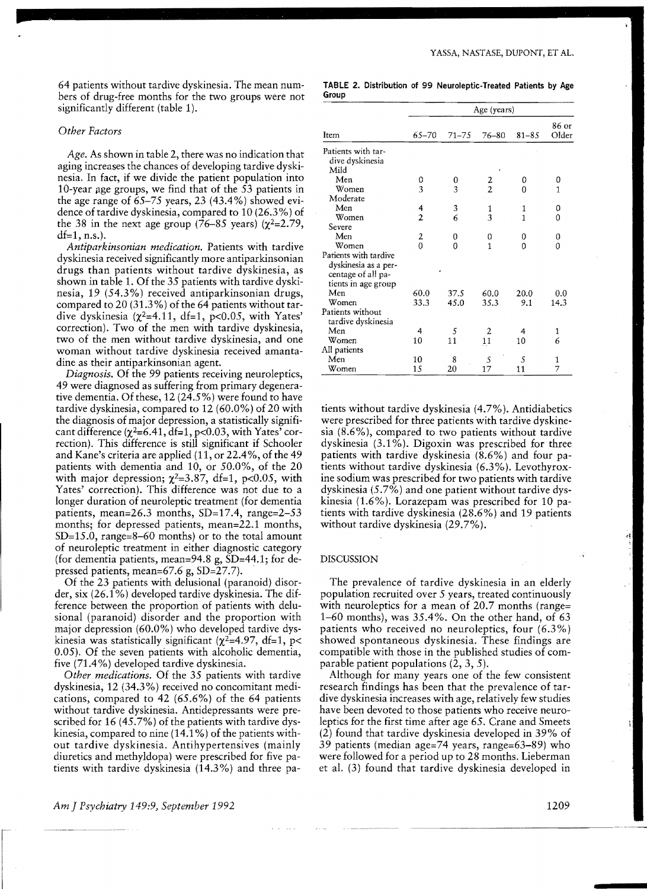YASSA, NASTASE, DUPONT, ET AL.

64 patients without tardive dyskinesia. The mean numbers of drug-free months for the two groups were not significantly different (table 1).

# *Other Factors*

*Age.* As shown in table 2, there was no indication that aging increases the chances of developing tardive dyskinesia. In fact, if we divide the patient population into 10-year age groups, we find that of the 53 patients in the age range of 65-75 years, 23 (43.4%) showed evidence of tardive dyskinesia, compared to 10 (26.3 %) of the 38 in the next age group (76-85 years) ( $\chi^2$ =2.79,  $df=1$ , n.s.).

*Antiparkinsonian medication.* Patients with tardive dyskinesia received significantly more antiparkinsonian drugs than patients without tardive dyskinesia, as shown in table 1. Of the 35 patients with tardive dyskinesia, 19 (54.3%) received antiparkinsonian drugs, compared to 20 (31.3 %) of the 64 patients without tardive dyskinesia  $(\chi^2=4.11, df=1, p<0.05, with Yates'$ correction). Two of the men with tardive dyskinesia, two of the men without tardive dyskinesia, and one woman without tardive dyskinesia received amantadine as their antiparkinsonian agent.

*Diagnosis.* Of the 99 patients receiving neuroleptics, 49 were diagnosed as suffering from primary degenerative dementia. Of these,  $12(2\overline{4}.5\%)$  were found to have tardive dyskinesia, compared to 12 (60.0%) of 20 with the diagnosis of major depression, a statistically significant difference  $(\chi^2=6.41, df=1, p<0.03, with Yates' cor-$ rection). This difference is still significant if Schooler and Kane's criteria are applied (11, or 22.4%, of the 49 patients with dementia and 10, or 50.0%, of the 20 with major depression;  $\chi^2$ =3.87, df=1, p<0.05, with Yates' correction). This difference was not due to a longer duration of neuroleptic treatment (for dementia patients, mean= $26.3$  months,  $SD=17.4$ , range= $2-53$ months; for depressed patients, mean=22.1 months, SD=15.0, range=8-60 months) or to the total amount of neuroleptic treatment in either diagnostic category (for dementia patients, mean= $94.8$  g, SD= $44.1$ ; for depressed patients, mean=67.6 g, SD=27.7).

Of the 23 patients with delusional (paranoid) disorder, six (26.1 %) developed tardive dyskinesia. The difference between the proportion of patients with delusional (paranoid) disorder and the proportion with major depression (60.0%) who developed tardive dyskinesia was statistically significant ( $\chi^2$ =4.97, df=1, p< 0.05). Of the seven patients with alcoholic dementia, five (71.4%) developed tardive dyskinesia.

*Other medications.* Of the 35 patients with tardive dyskinesia, 12 (34.3%) received no concomitant medications, compared to 42 (65.6%) of the 64 patients without tardive dyskinesia. Antidepressants were prescribed for 16 (45.7%) of the patients with tardive dyskinesia, compared to nine (14.1 %) of the patients without tardive dyskinesia. Antihypertensives (mainly diuretics and methyldopa) were prescribed for five patients with tardive dyskinesia (14.3%) and three pa-

|       |  |  | TABLE 2. Distribution of 99 Neuroleptic-Treated Patients by Age |  |  |
|-------|--|--|-----------------------------------------------------------------|--|--|
| Group |  |  |                                                                 |  |  |

|                                                                                            | Age (years)    |           |               |              |                |  |  |  |  |
|--------------------------------------------------------------------------------------------|----------------|-----------|---------------|--------------|----------------|--|--|--|--|
| Item                                                                                       | $65 - 70$      | $71 - 75$ | $76 - 80$     | $81 - 85$    | 86 or<br>Older |  |  |  |  |
| Patients with tar-<br>dive dyskinesia<br>Mild                                              |                |           |               |              |                |  |  |  |  |
| Men                                                                                        | 0              | 0         |               | 0            | 0              |  |  |  |  |
| Women                                                                                      | 3              | 3         | $\frac{2}{2}$ | 0            | $\mathbf{1}$   |  |  |  |  |
| Moderate                                                                                   |                |           |               |              |                |  |  |  |  |
| Men                                                                                        | 4              | 3         |               | 1            | 0              |  |  |  |  |
| Women                                                                                      | $\overline{2}$ | 6         | $\frac{1}{3}$ | $\mathbf{1}$ | 0              |  |  |  |  |
| Severe                                                                                     |                |           |               |              |                |  |  |  |  |
| Men                                                                                        |                | 0         | 0             | 0            | 0              |  |  |  |  |
| Women                                                                                      | $\frac{2}{0}$  | 0         | $\mathbf{1}$  | $\Omega$     | 0              |  |  |  |  |
| Patients with tardive<br>dyskinesia as a per-<br>centage of all pa-<br>tients in age group |                |           |               |              |                |  |  |  |  |
| Men                                                                                        | 60.0           | 37.5      | 60.0          | 20.0         | 0.0            |  |  |  |  |
| Women                                                                                      | 33.3           | 45.0      | 35.3          | 9.1          | 14.3           |  |  |  |  |
| Patients without<br>tardive dyskinesia                                                     |                |           |               |              |                |  |  |  |  |
| Men                                                                                        | 4              | 5         | 2             | 4            | 1              |  |  |  |  |
| Women                                                                                      | 10             | 11        | 11            | 10           | 6              |  |  |  |  |
| All patients                                                                               |                |           |               |              |                |  |  |  |  |
| Men                                                                                        | 10             | 8         | 5             | 5            | 1              |  |  |  |  |
| Women                                                                                      | 15             | 20        | 17            | 11           | 7              |  |  |  |  |

tients without tardive dyskinesia (4.7%). Antidiabetics were prescribed for three patients with tardive dyskinesia (8.6%), compared to two patients without tardive dyskinesia (3.1 %). Digoxin was prescribed for three patients with tardive dyskinesia (8.6%) and four patients without tardive dyskinesia (6.3%). Levothyroxine sodium was prescribed for two patients with tardive dyskinesia (5.7%) and one patient without tardive dyskinesia (1.6%). Lorazepam was prescribed for 10 patients with tardive dyskinesia (28.6%) and 19 patients without tardive dyskinesia (29.7%).

## DISCUSSION

The prevalence of tardive dyskinesia in an elderly population recruited over 5 years, treated continuously with neuroleptics for a mean of 20.7 months (range= 1-60 months), was 35.4%. On the other hand, of 63 patients who received no neuroleptics, four (6.3 %) showed spontaneous dyskinesia. These findings are compatible with those in the published studies of comparable patient populations (2, 3, 5),

Although for many years one of the few consistent research findings has been that the prevalence of tardive dyskinesia increases with age, relatively few studies have been devoted to those patients who receive neuroleptics for the first time after age 65. Crane and Smeets (2) found that tardive dyskinesia developed in 39% of 39 patients (median age=74 years, range=63-89) who were followed for a period up to 28 months. Lieberman et aL (3) found that tardive dyskinesia developed in

 $\mathbb{R}^2$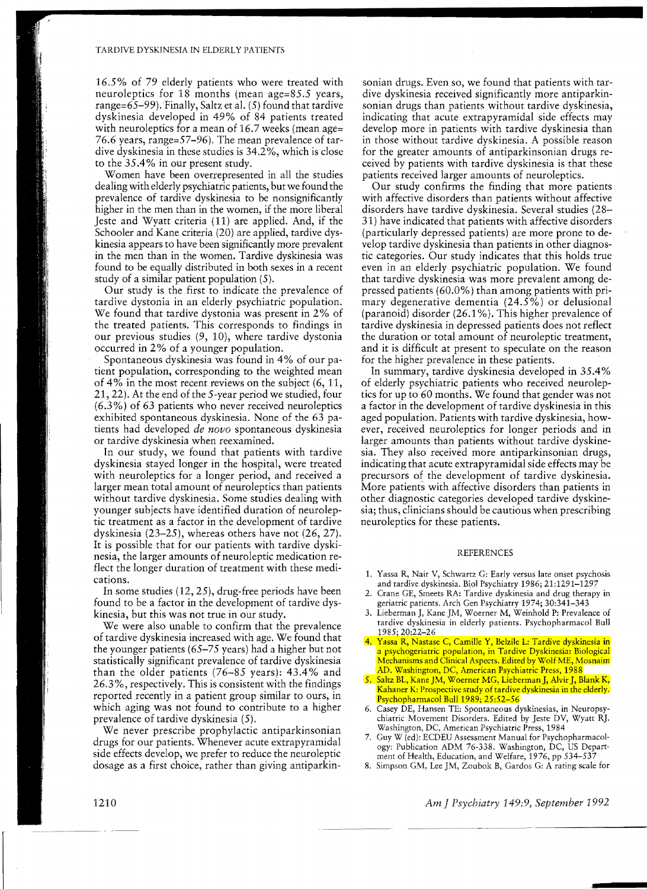16.5% of 79 elderly patients who were treated with neuroleptics for 18 months (mean age=85.5 years, range=65-99). Finally, Saltz et al.  $(5)$  found that tardive dyskinesia developed in 49% of 84 patients treated with neuroleptics for a mean of  $16.7$  weeks (mean age= 76.6 years, range=57-96). The mean prevalence of tardive dyskinesia in these studies is  $34.2\%$ , which is close to the 35.4% in our present study.

Women have been overrepresented in all the studies dealing with elderly psychiatric patients, but we found the prevalence of tardive dyskinesia to be nonsignificantly higher in the men than in the women, if the more liberal Jeste and Wyatt criteria (11) are applied. And, if the Schooler and Kane criteria (20) are applied, tardive dyskinesia appears to have been significantly more prevalent in the men than in the women. Tardive dyskinesia was found to be equally distributed in both sexes in a recent study of a similar patient population (5).

Our study is the first to indicate the prevalence of tardive dystonia in an elderly psychiatric population. We found that tardive dystonia was present in 2% of the treated patients. This corresponds to findings in our previous studies (9, 10), where tardive dystonia occurred in 2 % of a younger population.

Spontaneous dyskinesia was found in 4% of our patient population, corresponding to the weighted mean of  $4\%$  in the most recent reviews on the subject (6, 11, 21, 22). At the end of the 5-year period we studied, four (6.3%) of 63 patients who never received neuroleptics exhibited spontaneous dyskinesia. None of the 63 patients had developed *de novo* spontaneous dyskinesia or tardive dyskinesia when reexamined.

In our study, we found that patients with tardive dyskinesia stayed longer in the hospital, were treated with neuroleptics for a longer period, and received a larger mean total amount of neuroleptics than patients without tardive dyskinesia. Some studies dealing with younger subjects have identified duration of neuroleptic treatment as a factor in the development of tardive dyskinesia (23-25), whereas others have not (26, 27). It is possible that for our patients with tardive dyskinesia, the larger amounts of neuroleptic medication reflect the longer duration of treatment with these medications.

In some studies (12, 25), drug-free periods have been found to be a factor in the development of tardive dyskinesia, but this was not true in our study.

We were also unable to confirm that the prevalence of tardive dyskinesia increased with age. We found that the younger patients (65-75 years) had a higher but not statistically significant prevalence of tardive dyskinesia than the older patients (76-85 years): 43.4% and 26.3%, respectively. This is consistent with the findings reported recently in a patient group similar to ours, in which aging was not found to contribute to a higher prevalence of tardive dyskinesia (5).

We never prescribe prophylactic antiparkinsonian drugs for our patients. Whenever acute extrapyramidal side effects develop, we prefer to reduce the neuroleptic dosage as a first choice, rather than giving antiparkinsonian drugs. Even so, we found that patients with tardive dyskinesia received significantly more antiparkinsonian drugs than patients without tardive dyskinesia, indicating that acute extrapyramidal side effects may develop more in patients with tardive dyskinesia than in those without tardive dyskinesia. A possible reason for the greater amounts of antiparkinsonian drugs received by patients with tardive dyskinesia is that these patients received larger amounts of neuroleptics.

Our study confirms the finding that more patients with affective disorders than patients without affective disorders have tardive dyskinesia. Several studies (28 31) have indicated that patients with affective disorders (particularly depressed patients) are more prone to develop tardive dyskinesia than patients in other diagnostic categories. Our study indicates that this holds true even in an elderly psychiatric population. We found that tardive dyskinesia was more prevalent among depressed patients (60.0%) than among patients with primary degenerative dementia (24.5%) or delusional (paranoid) disorder (26.1 %). This higher prevalence of tardive dyskinesia in depressed patients does not reflect the duration or total amount of neuroleptic treatment, and it is difficult at present to speculate on the reason for the higher prevalence in these patients.

In summary, tardive dyskinesia developed in 35.4% of elderly psychiatric patients who received neuroleptics for up to 60 months. We found that gender was not a factor in the development of tardive dyskinesia in this aged population. Patients with tardive dyskinesia, however, received neuroleptics for longer periods and in larger amounts than patients without tardive dyskinesia. They also received more antiparkinsonian drugs, indicating that acute extrapyramidal side effects may be precursors of the development of tardive dyskinesia. More patients with affective disorders than patients in other diagnostic categories developed tardive dyskinesia; thus, clinicians should be cautious when prescribing neuroleptics for these patients.

#### REFERENCES

- 1. Yassa R, Nair V, Schwartz G: Early versus late onset psychosis and tardive dyskinesia. BioI Psychiatry 1986; 21:1291-1297
- 2. Crane GE, Smeets RA: Tardive dyskinesia and drug therapy in geriatric patients. Arch Gen Psychiatry 1974; 30:341-343
- 3. Lieberman J, Kane JM, Woerner M, Weinhold P: Prevalence of tardive dyskinesia in elderly patients. Psychopharmacol Bull 1985; 20:22-26
- 4. Yassa R, Nastase C, Camille Y, Belzile L: Tardive dyskinesia in a psychogeriatric population, in Tardive Dyskinesia: Biological Mechanisms and Clinical Aspects. Edited by Wolf ME, Mosnaim AD. Washington, DC, American Psychiatric Press, 1988
- 5. Saltz BL, Kane ]M, Woerner MG, Lieberman], Alvir], Blank K, Kahaner K: Prospective study of tardive dyskinesia in the elderly. Psychopharmacol Bull 1989; 25:52-56
- 6. Casey DE, Hansen TE: Spontaneous dyskinesias, in Neuropsychiatric Movement Disorders. Edited by Jeste DV, Wyatt RJ. Washington, DC, American Psychiatric Press, 1984
- 7. Guy W (ed): ECDEU Assessment Manual for Psychopharmacology: Publication ADM 76-338. Washington, DC, US Department of Health, Education, and Welfare, 1976, pp 534-537
- 8. Simpson GM, Lee JM, Zoubok B, Gardos G: A rating scale for